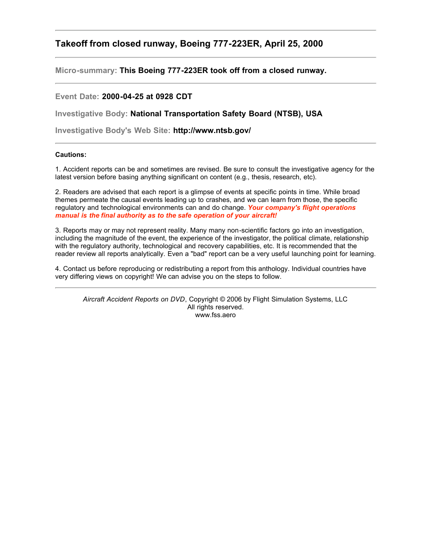## **Takeoff from closed runway, Boeing 777-223ER, April 25, 2000**

**Micro-summary: This Boeing 777-223ER took off from a closed runway.**

## **Event Date: 2000-04-25 at 0928 CDT**

**Investigative Body: National Transportation Safety Board (NTSB), USA**

**Investigative Body's Web Site: http://www.ntsb.gov/**

## **Cautions:**

1. Accident reports can be and sometimes are revised. Be sure to consult the investigative agency for the latest version before basing anything significant on content (e.g., thesis, research, etc).

2. Readers are advised that each report is a glimpse of events at specific points in time. While broad themes permeate the causal events leading up to crashes, and we can learn from those, the specific regulatory and technological environments can and do change. *Your company's flight operations manual is the final authority as to the safe operation of your aircraft!*

3. Reports may or may not represent reality. Many many non-scientific factors go into an investigation, including the magnitude of the event, the experience of the investigator, the political climate, relationship with the regulatory authority, technological and recovery capabilities, etc. It is recommended that the reader review all reports analytically. Even a "bad" report can be a very useful launching point for learning.

4. Contact us before reproducing or redistributing a report from this anthology. Individual countries have very differing views on copyright! We can advise you on the steps to follow.

*Aircraft Accident Reports on DVD*, Copyright © 2006 by Flight Simulation Systems, LLC All rights reserved. www.fss.aero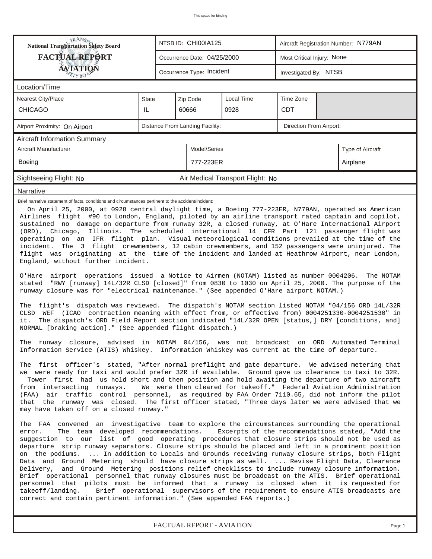| <b>National Transportation Safety Board</b>                                                                                                                                                                                                                                                                                                                                                                                                                                                                                                                                                                                                                                                                                                                                                                                                                                                                                                                                                                                                                                                                                                                                                                                                                                                                                                                                                                                                                                                                                                                                                                                                                                                                                                                                                                                                                                                                                                                                                                                                                                                                                                                                                                                                                                                                                                                                                                                                                                                                                                                                                                                                                                                                                                                                                                                                                                                                                                                                                                                                                                                                                                                                                                                                                                                                                                                                                                                                           |                                 |                             | NTSB ID: CHI00IA125       |                                  | Aircraft Registration Number: N779AN |  |  |  |  |
|-------------------------------------------------------------------------------------------------------------------------------------------------------------------------------------------------------------------------------------------------------------------------------------------------------------------------------------------------------------------------------------------------------------------------------------------------------------------------------------------------------------------------------------------------------------------------------------------------------------------------------------------------------------------------------------------------------------------------------------------------------------------------------------------------------------------------------------------------------------------------------------------------------------------------------------------------------------------------------------------------------------------------------------------------------------------------------------------------------------------------------------------------------------------------------------------------------------------------------------------------------------------------------------------------------------------------------------------------------------------------------------------------------------------------------------------------------------------------------------------------------------------------------------------------------------------------------------------------------------------------------------------------------------------------------------------------------------------------------------------------------------------------------------------------------------------------------------------------------------------------------------------------------------------------------------------------------------------------------------------------------------------------------------------------------------------------------------------------------------------------------------------------------------------------------------------------------------------------------------------------------------------------------------------------------------------------------------------------------------------------------------------------------------------------------------------------------------------------------------------------------------------------------------------------------------------------------------------------------------------------------------------------------------------------------------------------------------------------------------------------------------------------------------------------------------------------------------------------------------------------------------------------------------------------------------------------------------------------------------------------------------------------------------------------------------------------------------------------------------------------------------------------------------------------------------------------------------------------------------------------------------------------------------------------------------------------------------------------------------------------------------------------------------------------------------------------------|---------------------------------|-----------------------------|---------------------------|----------------------------------|--------------------------------------|--|--|--|--|
| <b>FACTUAL REPORT</b>                                                                                                                                                                                                                                                                                                                                                                                                                                                                                                                                                                                                                                                                                                                                                                                                                                                                                                                                                                                                                                                                                                                                                                                                                                                                                                                                                                                                                                                                                                                                                                                                                                                                                                                                                                                                                                                                                                                                                                                                                                                                                                                                                                                                                                                                                                                                                                                                                                                                                                                                                                                                                                                                                                                                                                                                                                                                                                                                                                                                                                                                                                                                                                                                                                                                                                                                                                                                                                 |                                 | Occurrence Date: 04/25/2000 |                           | Most Critical Injury: None       |                                      |  |  |  |  |
| AVIATION                                                                                                                                                                                                                                                                                                                                                                                                                                                                                                                                                                                                                                                                                                                                                                                                                                                                                                                                                                                                                                                                                                                                                                                                                                                                                                                                                                                                                                                                                                                                                                                                                                                                                                                                                                                                                                                                                                                                                                                                                                                                                                                                                                                                                                                                                                                                                                                                                                                                                                                                                                                                                                                                                                                                                                                                                                                                                                                                                                                                                                                                                                                                                                                                                                                                                                                                                                                                                                              |                                 |                             | Occurrence Type: Incident |                                  | Investigated By: NTSB                |  |  |  |  |
| Location/Time                                                                                                                                                                                                                                                                                                                                                                                                                                                                                                                                                                                                                                                                                                                                                                                                                                                                                                                                                                                                                                                                                                                                                                                                                                                                                                                                                                                                                                                                                                                                                                                                                                                                                                                                                                                                                                                                                                                                                                                                                                                                                                                                                                                                                                                                                                                                                                                                                                                                                                                                                                                                                                                                                                                                                                                                                                                                                                                                                                                                                                                                                                                                                                                                                                                                                                                                                                                                                                         |                                 |                             |                           |                                  |                                      |  |  |  |  |
| <b>Nearest City/Place</b>                                                                                                                                                                                                                                                                                                                                                                                                                                                                                                                                                                                                                                                                                                                                                                                                                                                                                                                                                                                                                                                                                                                                                                                                                                                                                                                                                                                                                                                                                                                                                                                                                                                                                                                                                                                                                                                                                                                                                                                                                                                                                                                                                                                                                                                                                                                                                                                                                                                                                                                                                                                                                                                                                                                                                                                                                                                                                                                                                                                                                                                                                                                                                                                                                                                                                                                                                                                                                             | <b>State</b>                    |                             | Zip Code                  | Local Time                       | Time Zone                            |  |  |  |  |
| <b>CHICAGO</b>                                                                                                                                                                                                                                                                                                                                                                                                                                                                                                                                                                                                                                                                                                                                                                                                                                                                                                                                                                                                                                                                                                                                                                                                                                                                                                                                                                                                                                                                                                                                                                                                                                                                                                                                                                                                                                                                                                                                                                                                                                                                                                                                                                                                                                                                                                                                                                                                                                                                                                                                                                                                                                                                                                                                                                                                                                                                                                                                                                                                                                                                                                                                                                                                                                                                                                                                                                                                                                        | IL                              |                             | 60666                     | 0928                             | <b>CDT</b>                           |  |  |  |  |
| Airport Proximity: On Airport                                                                                                                                                                                                                                                                                                                                                                                                                                                                                                                                                                                                                                                                                                                                                                                                                                                                                                                                                                                                                                                                                                                                                                                                                                                                                                                                                                                                                                                                                                                                                                                                                                                                                                                                                                                                                                                                                                                                                                                                                                                                                                                                                                                                                                                                                                                                                                                                                                                                                                                                                                                                                                                                                                                                                                                                                                                                                                                                                                                                                                                                                                                                                                                                                                                                                                                                                                                                                         | Distance From Landing Facility: |                             | Direction From Airport:   |                                  |                                      |  |  |  |  |
| <b>Aircraft Information Summary</b>                                                                                                                                                                                                                                                                                                                                                                                                                                                                                                                                                                                                                                                                                                                                                                                                                                                                                                                                                                                                                                                                                                                                                                                                                                                                                                                                                                                                                                                                                                                                                                                                                                                                                                                                                                                                                                                                                                                                                                                                                                                                                                                                                                                                                                                                                                                                                                                                                                                                                                                                                                                                                                                                                                                                                                                                                                                                                                                                                                                                                                                                                                                                                                                                                                                                                                                                                                                                                   |                                 |                             |                           |                                  |                                      |  |  |  |  |
| Aircraft Manufacturer                                                                                                                                                                                                                                                                                                                                                                                                                                                                                                                                                                                                                                                                                                                                                                                                                                                                                                                                                                                                                                                                                                                                                                                                                                                                                                                                                                                                                                                                                                                                                                                                                                                                                                                                                                                                                                                                                                                                                                                                                                                                                                                                                                                                                                                                                                                                                                                                                                                                                                                                                                                                                                                                                                                                                                                                                                                                                                                                                                                                                                                                                                                                                                                                                                                                                                                                                                                                                                 |                                 | Model/Series                |                           |                                  | Type of Aircraft                     |  |  |  |  |
| Boeing                                                                                                                                                                                                                                                                                                                                                                                                                                                                                                                                                                                                                                                                                                                                                                                                                                                                                                                                                                                                                                                                                                                                                                                                                                                                                                                                                                                                                                                                                                                                                                                                                                                                                                                                                                                                                                                                                                                                                                                                                                                                                                                                                                                                                                                                                                                                                                                                                                                                                                                                                                                                                                                                                                                                                                                                                                                                                                                                                                                                                                                                                                                                                                                                                                                                                                                                                                                                                                                |                                 |                             | 777-223ER                 |                                  | Airplane                             |  |  |  |  |
| Sightseeing Flight: No                                                                                                                                                                                                                                                                                                                                                                                                                                                                                                                                                                                                                                                                                                                                                                                                                                                                                                                                                                                                                                                                                                                                                                                                                                                                                                                                                                                                                                                                                                                                                                                                                                                                                                                                                                                                                                                                                                                                                                                                                                                                                                                                                                                                                                                                                                                                                                                                                                                                                                                                                                                                                                                                                                                                                                                                                                                                                                                                                                                                                                                                                                                                                                                                                                                                                                                                                                                                                                |                                 |                             |                           | Air Medical Transport Flight: No |                                      |  |  |  |  |
| Narrative                                                                                                                                                                                                                                                                                                                                                                                                                                                                                                                                                                                                                                                                                                                                                                                                                                                                                                                                                                                                                                                                                                                                                                                                                                                                                                                                                                                                                                                                                                                                                                                                                                                                                                                                                                                                                                                                                                                                                                                                                                                                                                                                                                                                                                                                                                                                                                                                                                                                                                                                                                                                                                                                                                                                                                                                                                                                                                                                                                                                                                                                                                                                                                                                                                                                                                                                                                                                                                             |                                 |                             |                           |                                  |                                      |  |  |  |  |
| Brief narrative statement of facts, conditions and circumstances pertinent to the accident/incident:<br>On April 25, 2000, at 0928 central daylight time, a Boeing 777-223ER, N779AN, operated as American<br>Airlines flight #90 to London, England, piloted by an airline transport rated captain and copilot,<br>sustained no damage on departure from runway 32R, a closed runway, at O'Hare International Airport<br>(ORD), Chicago,<br>Illinois. The scheduled international 14 CFR Part 121 passenger flight was<br>operating on an IFR flight plan. Visual meteorological conditions prevailed at the time of the<br>The 3 flight crewmembers, 12 cabin crewmembers, and 152 passengers were uninjured. The<br>incident.<br>flight was originating at the time of the incident and landed at Heathrow Airport, near London,<br>England, without further incident.<br>O'Hare airport operations issued a Notice to Airmen (NOTAM) listed as number 0004206.<br>The NOTAM<br>stated "RWY [runway] 14L/32R CLSD [closed]" from 0830 to 1030 on April 25, 2000. The purpose of the<br>runway closure was for "electrical maintenance." (See appended O'Hare airport NOTAM.)<br>The flight's dispatch was reviewed. The dispatch's NOTAM section listed NOTAM "04/156 ORD 14L/32R<br>CLSD WEF (ICAO contraction meaning with effect from, or effective from) 0004251330-0004251530" in<br>The dispatch's ORD Field Report section indicated "14L/32R OPEN [status,] DRY [conditions, and]<br>it.<br>NORMAL [braking action]." (See appended flight dispatch.)<br>The runway closure, advised in NOTAM 04/156, was not broadcast on ORD Automated Terminal<br>Information Service (ATIS) Whiskey. Information Whiskey was current at the time of departure.<br>The first officer's stated, "After normal preflight and gate departure. We advised metering that<br>we were ready for taxi and would prefer 32R if available. Ground gave us clearance to taxi to 32R.<br>Tower first had us hold short and then position and hold awaiting the departure of two aircraft<br>from intersecting runways. We were then cleared for takeoff." Federal Aviation Administration<br>(FAA) air traffic control personnel, as required by FAA Order 7110.65, did not inform the pilot<br>that the runway was closed. The first officer stated, "Three days later we were advised that we<br>may have taken off on a closed runway."<br>The FAA convened an investigative team to explore the circumstances surrounding the operational<br>The team developed recommendations. Excerpts of the recommendations stated, "Add the<br>error.<br>suggestion to our list of good operating procedures that closure strips should not be used as<br>departure strip runway separators. Closure strips should be placed and left in a prominent position<br>on the podiums.  In addition to Locals and Grounds receiving runway closure strips, both Flight<br>Data and Ground Metering should have closure strips as well.  Revise Flight Data, Clearance<br>Delivery, and Ground Metering positions relief checklists to include runway closure information.<br>Brief operational personnel that runway closures must be broadcast on the ATIS. Brief operational<br>personnel that pilots must be informed that a runway is closed when it is requested for<br>takeoff/landing.<br>Brief operational supervisors of the requirement to ensure ATIS broadcasts are |                                 |                             |                           |                                  |                                      |  |  |  |  |
| correct and contain pertinent information." (See appended FAA reports.)                                                                                                                                                                                                                                                                                                                                                                                                                                                                                                                                                                                                                                                                                                                                                                                                                                                                                                                                                                                                                                                                                                                                                                                                                                                                                                                                                                                                                                                                                                                                                                                                                                                                                                                                                                                                                                                                                                                                                                                                                                                                                                                                                                                                                                                                                                                                                                                                                                                                                                                                                                                                                                                                                                                                                                                                                                                                                                                                                                                                                                                                                                                                                                                                                                                                                                                                                                               |                                 |                             |                           |                                  |                                      |  |  |  |  |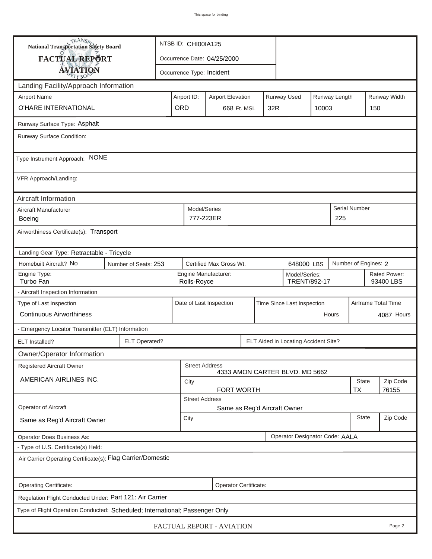| <b>National Transportation Safety Board</b>                                  |                                                                  |                                                                       |                                       |              |                                | NTSB ID: CHI00IA125 |               |                           |               |  |  |
|------------------------------------------------------------------------------|------------------------------------------------------------------|-----------------------------------------------------------------------|---------------------------------------|--------------|--------------------------------|---------------------|---------------|---------------------------|---------------|--|--|
| FACTUAL REPORT                                                               |                                                                  |                                                                       | Occurrence Date: 04/25/2000           |              |                                |                     |               |                           |               |  |  |
| <b>AVIATION</b>                                                              |                                                                  |                                                                       | Occurrence Type: Incident             |              |                                |                     |               |                           |               |  |  |
| Landing Facility/Approach Information                                        |                                                                  |                                                                       |                                       |              |                                |                     |               |                           |               |  |  |
| <b>Airport Name</b>                                                          |                                                                  | Airport ID:                                                           | <b>Airport Elevation</b>              |              | Runway Used                    |                     | Runway Length |                           | Runway Width  |  |  |
| O'HARE INTERNATIONAL                                                         | ORD                                                              | 668 Ft. MSL                                                           |                                       | 32R<br>10003 |                                |                     | 150           |                           |               |  |  |
| Runway Surface Type: Asphalt                                                 |                                                                  |                                                                       |                                       |              |                                |                     |               |                           |               |  |  |
| Runway Surface Condition:                                                    |                                                                  |                                                                       |                                       |              |                                |                     |               |                           |               |  |  |
| Type Instrument Approach: NONE                                               |                                                                  |                                                                       |                                       |              |                                |                     |               |                           |               |  |  |
| VFR Approach/Landing:                                                        |                                                                  |                                                                       |                                       |              |                                |                     |               |                           |               |  |  |
| Aircraft Information                                                         |                                                                  |                                                                       |                                       |              |                                |                     |               |                           |               |  |  |
| Aircraft Manufacturer<br><b>Boeing</b>                                       |                                                                  |                                                                       | Model/Series<br>777-223ER<br>225      |              |                                |                     |               |                           | Serial Number |  |  |
| Airworthiness Certificate(s): Transport                                      |                                                                  |                                                                       |                                       |              |                                |                     |               |                           |               |  |  |
| Landing Gear Type: Retractable - Tricycle                                    |                                                                  |                                                                       |                                       |              |                                |                     |               |                           |               |  |  |
| Homebuilt Aircraft? No<br>Number of Seats: 253                               |                                                                  |                                                                       | Certified Max Gross Wt.<br>648000 LBS |              |                                |                     |               | Number of Engines: 2      |               |  |  |
| Engine Type:<br>Turbo Fan                                                    |                                                                  | Engine Manufacturer:<br>Model/Series:<br>TRENT/892-17<br>Rolls-Royce  |                                       |              |                                |                     |               | Rated Power:<br>93400 LBS |               |  |  |
| - Aircraft Inspection Information                                            |                                                                  |                                                                       |                                       |              |                                |                     |               |                           |               |  |  |
| Type of Last Inspection                                                      |                                                                  | Date of Last Inspection<br>Time Since Last Inspection<br><b>Hours</b> |                                       |              |                                |                     |               | Airframe Total Time       |               |  |  |
| <b>Continuous Airworthiness</b>                                              |                                                                  |                                                                       |                                       |              |                                |                     |               | 4087 Hours                |               |  |  |
| - Emergency Locator Transmitter (ELT) Information                            |                                                                  |                                                                       |                                       |              |                                |                     |               |                           |               |  |  |
| <b>ELT</b> Installed?                                                        | <b>ELT Operated?</b><br>ELT Aided in Locating Accident Site?     |                                                                       |                                       |              |                                |                     |               |                           |               |  |  |
| Owner/Operator Information                                                   |                                                                  |                                                                       |                                       |              |                                |                     |               |                           |               |  |  |
| Registered Aircraft Owner                                                    |                                                                  |                                                                       | <b>Street Address</b>                 |              | 4333 AMON CARTER BLVD. MD 5662 |                     |               |                           |               |  |  |
| AMERICAN AIRLINES INC.                                                       | City                                                             |                                                                       |                                       |              |                                |                     |               | Zip Code                  |               |  |  |
|                                                                              | <b>TX</b><br>76155<br><b>FORT WORTH</b><br><b>Street Address</b> |                                                                       |                                       |              |                                |                     |               |                           |               |  |  |
| Operator of Aircraft                                                         | Same as Reg'd Aircraft Owner                                     |                                                                       |                                       |              |                                |                     |               |                           |               |  |  |
| Same as Reg'd Aircraft Owner                                                 |                                                                  |                                                                       | <b>State</b><br>City                  |              |                                |                     |               |                           | Zip Code      |  |  |
| Operator Designator Code: AALA<br>Operator Does Business As:                 |                                                                  |                                                                       |                                       |              |                                |                     |               |                           |               |  |  |
| - Type of U.S. Certificate(s) Held:                                          |                                                                  |                                                                       |                                       |              |                                |                     |               |                           |               |  |  |
| Air Carrier Operating Certificate(s): Flag Carrier/Domestic                  |                                                                  |                                                                       |                                       |              |                                |                     |               |                           |               |  |  |
| Operating Certificate:<br>Operator Certificate:                              |                                                                  |                                                                       |                                       |              |                                |                     |               |                           |               |  |  |
| Regulation Flight Conducted Under: Part 121: Air Carrier                     |                                                                  |                                                                       |                                       |              |                                |                     |               |                           |               |  |  |
| Type of Flight Operation Conducted: Scheduled; International; Passenger Only |                                                                  |                                                                       |                                       |              |                                |                     |               |                           |               |  |  |
| FACTUAL REPORT - AVIATION<br>Page 2                                          |                                                                  |                                                                       |                                       |              |                                |                     |               |                           |               |  |  |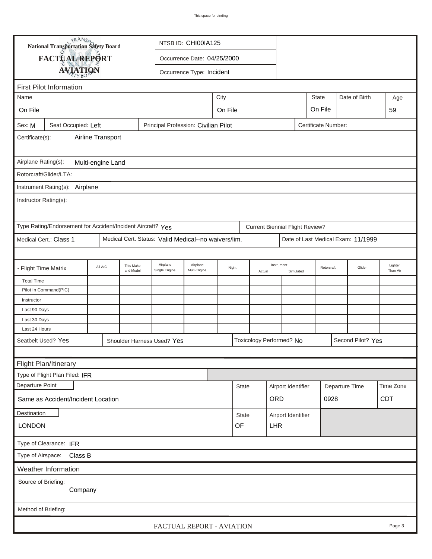| TRANSA<br>NTSB ID: CHI00IA125<br>National Transportation Safety Board                        |                                                             |  |                           |                                                      |                           |              |        |                         |                                        |            |                |                   |                                    |            |
|----------------------------------------------------------------------------------------------|-------------------------------------------------------------|--|---------------------------|------------------------------------------------------|---------------------------|--------------|--------|-------------------------|----------------------------------------|------------|----------------|-------------------|------------------------------------|------------|
|                                                                                              | FACTUAL REPORT<br>Occurrence Date: 04/25/2000               |  |                           |                                                      |                           |              |        |                         |                                        |            |                |                   |                                    |            |
|                                                                                              |                                                             |  |                           |                                                      | Occurrence Type: Incident |              |        |                         |                                        |            |                |                   |                                    |            |
| <b>AVIATION</b>                                                                              |                                                             |  |                           |                                                      |                           |              |        |                         |                                        |            |                |                   |                                    |            |
|                                                                                              | <b>First Pilot Information</b>                              |  |                           |                                                      |                           |              |        |                         |                                        |            | <b>State</b>   |                   | Date of Birth                      |            |
| City<br>Name                                                                                 |                                                             |  |                           |                                                      |                           |              |        |                         | On File                                |            |                | Age               |                                    |            |
| On File                                                                                      |                                                             |  |                           |                                                      | On File                   |              |        |                         |                                        |            |                |                   |                                    | 59         |
| Principal Profession: Civilian Pilot<br>Seat Occupied: Left<br>Certificate Number:<br>Sex: M |                                                             |  |                           |                                                      |                           |              |        |                         |                                        |            |                |                   |                                    |            |
| Airline Transport<br>Certificate(s):                                                         |                                                             |  |                           |                                                      |                           |              |        |                         |                                        |            |                |                   |                                    |            |
| Airplane Rating(s):<br>Multi-engine Land                                                     |                                                             |  |                           |                                                      |                           |              |        |                         |                                        |            |                |                   |                                    |            |
|                                                                                              | Rotorcraft/Glider/LTA:                                      |  |                           |                                                      |                           |              |        |                         |                                        |            |                |                   |                                    |            |
|                                                                                              | Instrument Rating(s): Airplane                              |  |                           |                                                      |                           |              |        |                         |                                        |            |                |                   |                                    |            |
| Instructor Rating(s):                                                                        |                                                             |  |                           |                                                      |                           |              |        |                         |                                        |            |                |                   |                                    |            |
|                                                                                              | Type Rating/Endorsement for Accident/Incident Aircraft? Yes |  |                           |                                                      |                           |              |        |                         | <b>Current Biennial Flight Review?</b> |            |                |                   |                                    |            |
|                                                                                              | Medical Cert.: Class 1                                      |  |                           | Medical Cert. Status: Valid Medical--no waivers/lim. |                           |              |        |                         |                                        |            |                |                   | Date of Last Medical Exam: 11/1999 |            |
|                                                                                              |                                                             |  |                           |                                                      |                           |              |        |                         |                                        |            |                |                   |                                    |            |
|                                                                                              | This Make<br>All A/C<br>- Flight Time Matrix<br>and Model   |  | Airplane<br>Single Engine | Airplane<br>Mult-Engine                              | Night                     |              | Actual | Instrument<br>Simulated |                                        | Rotorcraft |                | Glider            | Lighter<br>Than Air                |            |
| <b>Total Time</b>                                                                            |                                                             |  |                           |                                                      |                           |              |        |                         |                                        |            |                |                   |                                    |            |
|                                                                                              | Pilot In Command(PIC)                                       |  |                           |                                                      |                           |              |        |                         |                                        |            |                |                   |                                    |            |
| Instructor                                                                                   |                                                             |  |                           |                                                      |                           |              |        |                         |                                        |            |                |                   |                                    |            |
| Last 90 Days                                                                                 |                                                             |  |                           |                                                      |                           |              |        |                         |                                        |            |                |                   |                                    |            |
| Last 30 Days                                                                                 |                                                             |  |                           |                                                      |                           |              |        |                         |                                        |            |                |                   |                                    |            |
| Last 24 Hours                                                                                |                                                             |  |                           |                                                      | Toxicology Performed? No  |              |        |                         |                                        |            |                |                   |                                    |            |
| Seatbelt Used? Yes<br>Shoulder Harness Used? Yes                                             |                                                             |  |                           |                                                      |                           |              |        |                         |                                        |            |                | Second Pilot? Yes |                                    |            |
|                                                                                              |                                                             |  |                           |                                                      |                           |              |        |                         |                                        |            |                |                   |                                    |            |
| Flight Plan/Itinerary                                                                        |                                                             |  |                           |                                                      |                           |              |        |                         |                                        |            |                |                   |                                    |            |
|                                                                                              | Type of Flight Plan Filed: IFR                              |  |                           |                                                      |                           |              |        |                         |                                        |            |                |                   |                                    |            |
| Departure Point                                                                              |                                                             |  |                           |                                                      |                           | <b>State</b> |        |                         | Airport Identifier                     |            | Departure Time |                   | Time Zone                          |            |
| Same as Accident/Incident Location                                                           |                                                             |  |                           |                                                      |                           |              |        |                         | <b>ORD</b>                             |            |                | 0928              |                                    | <b>CDT</b> |
| Destination                                                                                  |                                                             |  |                           |                                                      |                           | State        |        |                         | Airport Identifier                     |            |                |                   |                                    |            |
| <b>LONDON</b>                                                                                |                                                             |  |                           |                                                      | OF<br><b>LHR</b>          |              |        |                         |                                        |            |                |                   |                                    |            |
| Type of Clearance: IFR                                                                       |                                                             |  |                           |                                                      |                           |              |        |                         |                                        |            |                |                   |                                    |            |
| Type of Airspace: Class B                                                                    |                                                             |  |                           |                                                      |                           |              |        |                         |                                        |            |                |                   |                                    |            |
| Weather Information                                                                          |                                                             |  |                           |                                                      |                           |              |        |                         |                                        |            |                |                   |                                    |            |
| Source of Briefing:                                                                          |                                                             |  |                           |                                                      |                           |              |        |                         |                                        |            |                |                   |                                    |            |
| Company                                                                                      |                                                             |  |                           |                                                      |                           |              |        |                         |                                        |            |                |                   |                                    |            |
| Method of Briefing:                                                                          |                                                             |  |                           |                                                      |                           |              |        |                         |                                        |            |                |                   |                                    |            |
|                                                                                              |                                                             |  |                           |                                                      |                           |              |        |                         |                                        |            |                |                   |                                    |            |
| FACTUAL REPORT - AVIATION<br>Page 3                                                          |                                                             |  |                           |                                                      |                           |              |        |                         |                                        |            |                |                   |                                    |            |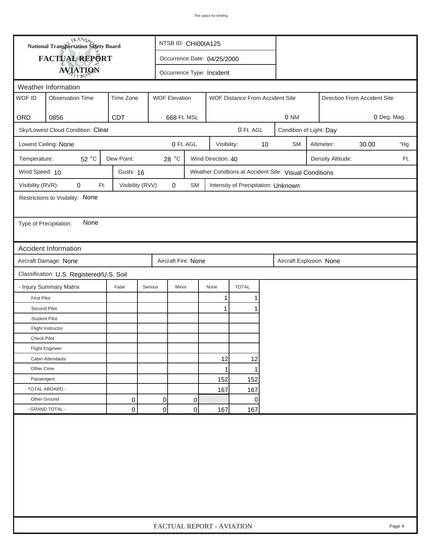| <b>National Transportation Safety Board</b><br>FACTUAL REPORT<br>Occurrence Date: 04/25/2000<br><b>AVIATION</b><br>Occurrence Type: Incident<br>Weather Information<br>WOF ID<br><b>WOF Elevation</b><br><b>Observation Time</b><br>Time Zone<br>WOF Distance From Accident Site<br>Direction From Accident Site<br>ORD<br>0856<br><b>CDT</b><br>668 Ft. MSL<br>0 NM<br>Sky/Lowest Cloud Condition: Clear<br>0 Ft. AGL<br>Condition of Light: Day<br>0 Ft. AGL<br>$10$<br>Lowest Ceiling: None<br>Visibility:<br><b>SM</b><br>Altimeter:<br>30.00<br>52 °C<br>Dew Point:<br>28 $^{\circ}$ C<br>Wind Direction: 40<br>Temperature:<br>Density Altitude:<br>Wind Speed: 10<br>Gusts: 16<br>Weather Condtions at Accident Site: Visual Conditions<br>Visibility (RVR):<br>Visibility (RVV)<br>$\pmb{0}$<br>0<br>Ft.<br>SM<br>Intensity of Precipitation: Unknown<br>Restrictions to Visibility: None<br>None<br>Type of Precipitation:<br><b>Accident Information</b><br>Aircraft Damage: None<br>Aircraft Fire: None<br>Aircraft Explosion None<br>Classification: U.S. Registered/U.S. Soil<br><b>TOTAL</b><br>- Injury Summary Matrix<br>Fatal<br>Serious<br>Minor<br>None<br><b>First Pilot</b><br>1<br>1 | 0 Deg. Mag.<br>"Hg<br>Ft. |
|------------------------------------------------------------------------------------------------------------------------------------------------------------------------------------------------------------------------------------------------------------------------------------------------------------------------------------------------------------------------------------------------------------------------------------------------------------------------------------------------------------------------------------------------------------------------------------------------------------------------------------------------------------------------------------------------------------------------------------------------------------------------------------------------------------------------------------------------------------------------------------------------------------------------------------------------------------------------------------------------------------------------------------------------------------------------------------------------------------------------------------------------------------------------------------------------------------|---------------------------|
|                                                                                                                                                                                                                                                                                                                                                                                                                                                                                                                                                                                                                                                                                                                                                                                                                                                                                                                                                                                                                                                                                                                                                                                                            |                           |
|                                                                                                                                                                                                                                                                                                                                                                                                                                                                                                                                                                                                                                                                                                                                                                                                                                                                                                                                                                                                                                                                                                                                                                                                            |                           |
|                                                                                                                                                                                                                                                                                                                                                                                                                                                                                                                                                                                                                                                                                                                                                                                                                                                                                                                                                                                                                                                                                                                                                                                                            |                           |
|                                                                                                                                                                                                                                                                                                                                                                                                                                                                                                                                                                                                                                                                                                                                                                                                                                                                                                                                                                                                                                                                                                                                                                                                            |                           |
|                                                                                                                                                                                                                                                                                                                                                                                                                                                                                                                                                                                                                                                                                                                                                                                                                                                                                                                                                                                                                                                                                                                                                                                                            |                           |
|                                                                                                                                                                                                                                                                                                                                                                                                                                                                                                                                                                                                                                                                                                                                                                                                                                                                                                                                                                                                                                                                                                                                                                                                            |                           |
|                                                                                                                                                                                                                                                                                                                                                                                                                                                                                                                                                                                                                                                                                                                                                                                                                                                                                                                                                                                                                                                                                                                                                                                                            |                           |
|                                                                                                                                                                                                                                                                                                                                                                                                                                                                                                                                                                                                                                                                                                                                                                                                                                                                                                                                                                                                                                                                                                                                                                                                            |                           |
|                                                                                                                                                                                                                                                                                                                                                                                                                                                                                                                                                                                                                                                                                                                                                                                                                                                                                                                                                                                                                                                                                                                                                                                                            |                           |
|                                                                                                                                                                                                                                                                                                                                                                                                                                                                                                                                                                                                                                                                                                                                                                                                                                                                                                                                                                                                                                                                                                                                                                                                            |                           |
|                                                                                                                                                                                                                                                                                                                                                                                                                                                                                                                                                                                                                                                                                                                                                                                                                                                                                                                                                                                                                                                                                                                                                                                                            |                           |
|                                                                                                                                                                                                                                                                                                                                                                                                                                                                                                                                                                                                                                                                                                                                                                                                                                                                                                                                                                                                                                                                                                                                                                                                            |                           |
|                                                                                                                                                                                                                                                                                                                                                                                                                                                                                                                                                                                                                                                                                                                                                                                                                                                                                                                                                                                                                                                                                                                                                                                                            |                           |
|                                                                                                                                                                                                                                                                                                                                                                                                                                                                                                                                                                                                                                                                                                                                                                                                                                                                                                                                                                                                                                                                                                                                                                                                            |                           |
|                                                                                                                                                                                                                                                                                                                                                                                                                                                                                                                                                                                                                                                                                                                                                                                                                                                                                                                                                                                                                                                                                                                                                                                                            |                           |
|                                                                                                                                                                                                                                                                                                                                                                                                                                                                                                                                                                                                                                                                                                                                                                                                                                                                                                                                                                                                                                                                                                                                                                                                            |                           |
|                                                                                                                                                                                                                                                                                                                                                                                                                                                                                                                                                                                                                                                                                                                                                                                                                                                                                                                                                                                                                                                                                                                                                                                                            |                           |
|                                                                                                                                                                                                                                                                                                                                                                                                                                                                                                                                                                                                                                                                                                                                                                                                                                                                                                                                                                                                                                                                                                                                                                                                            |                           |
|                                                                                                                                                                                                                                                                                                                                                                                                                                                                                                                                                                                                                                                                                                                                                                                                                                                                                                                                                                                                                                                                                                                                                                                                            |                           |
|                                                                                                                                                                                                                                                                                                                                                                                                                                                                                                                                                                                                                                                                                                                                                                                                                                                                                                                                                                                                                                                                                                                                                                                                            |                           |
| Second Pilot<br>$\mathbf 1$                                                                                                                                                                                                                                                                                                                                                                                                                                                                                                                                                                                                                                                                                                                                                                                                                                                                                                                                                                                                                                                                                                                                                                                |                           |
| <b>Student Pilot</b>                                                                                                                                                                                                                                                                                                                                                                                                                                                                                                                                                                                                                                                                                                                                                                                                                                                                                                                                                                                                                                                                                                                                                                                       |                           |
| Flight Instructor                                                                                                                                                                                                                                                                                                                                                                                                                                                                                                                                                                                                                                                                                                                                                                                                                                                                                                                                                                                                                                                                                                                                                                                          |                           |
| <b>Check Pilot</b>                                                                                                                                                                                                                                                                                                                                                                                                                                                                                                                                                                                                                                                                                                                                                                                                                                                                                                                                                                                                                                                                                                                                                                                         |                           |
| <b>Flight Engineer</b>                                                                                                                                                                                                                                                                                                                                                                                                                                                                                                                                                                                                                                                                                                                                                                                                                                                                                                                                                                                                                                                                                                                                                                                     |                           |
| 12<br>12<br>Cabin Attendants                                                                                                                                                                                                                                                                                                                                                                                                                                                                                                                                                                                                                                                                                                                                                                                                                                                                                                                                                                                                                                                                                                                                                                               |                           |
| Other Crew<br>1<br>1                                                                                                                                                                                                                                                                                                                                                                                                                                                                                                                                                                                                                                                                                                                                                                                                                                                                                                                                                                                                                                                                                                                                                                                       |                           |
| 152<br>152<br>Passengers                                                                                                                                                                                                                                                                                                                                                                                                                                                                                                                                                                                                                                                                                                                                                                                                                                                                                                                                                                                                                                                                                                                                                                                   |                           |
| - TOTAL ABOARD -<br>167<br>167                                                                                                                                                                                                                                                                                                                                                                                                                                                                                                                                                                                                                                                                                                                                                                                                                                                                                                                                                                                                                                                                                                                                                                             |                           |
| Other Ground<br>0<br>0<br>0<br>0                                                                                                                                                                                                                                                                                                                                                                                                                                                                                                                                                                                                                                                                                                                                                                                                                                                                                                                                                                                                                                                                                                                                                                           |                           |
| - GRAND TOTAL -<br>$\overline{0}$<br>0<br>0<br>167<br>167                                                                                                                                                                                                                                                                                                                                                                                                                                                                                                                                                                                                                                                                                                                                                                                                                                                                                                                                                                                                                                                                                                                                                  |                           |